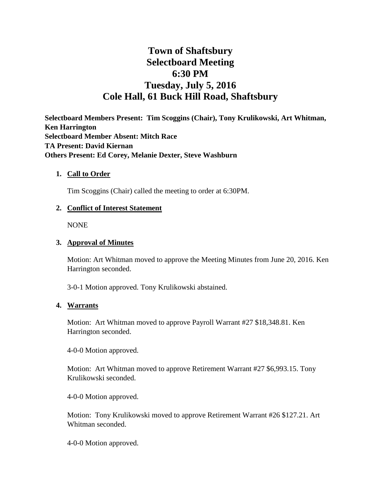# **Town of Shaftsbury Selectboard Meeting 6:30 PM Tuesday, July 5, 2016 Cole Hall, 61 Buck Hill Road, Shaftsbury**

**Selectboard Members Present: Tim Scoggins (Chair), Tony Krulikowski, Art Whitman, Ken Harrington Selectboard Member Absent: Mitch Race TA Present: David Kiernan Others Present: Ed Corey, Melanie Dexter, Steve Washburn**

#### **1. Call to Order**

Tim Scoggins (Chair) called the meeting to order at 6:30PM.

#### **2. Conflict of Interest Statement**

NONE

#### **3. Approval of Minutes**

Motion: Art Whitman moved to approve the Meeting Minutes from June 20, 2016. Ken Harrington seconded.

3-0-1 Motion approved. Tony Krulikowski abstained.

#### **4. Warrants**

Motion: Art Whitman moved to approve Payroll Warrant #27 \$18,348.81. Ken Harrington seconded.

4-0-0 Motion approved.

Motion: Art Whitman moved to approve Retirement Warrant #27 \$6,993.15. Tony Krulikowski seconded.

4-0-0 Motion approved.

Motion: Tony Krulikowski moved to approve Retirement Warrant #26 \$127.21. Art Whitman seconded.

4-0-0 Motion approved.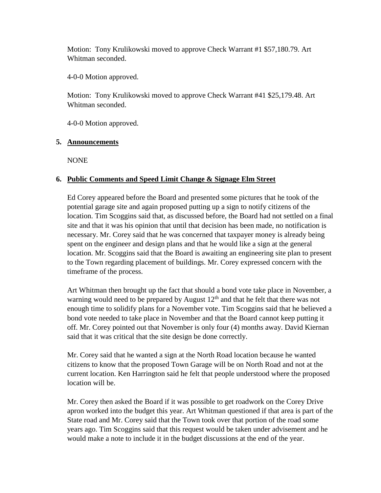Motion: Tony Krulikowski moved to approve Check Warrant #1 \$57,180.79. Art Whitman seconded.

4-0-0 Motion approved.

Motion: Tony Krulikowski moved to approve Check Warrant #41 \$25,179.48. Art Whitman seconded.

4-0-0 Motion approved.

#### **5. Announcements**

NONE

## **6. Public Comments and Speed Limit Change & Signage Elm Street**

Ed Corey appeared before the Board and presented some pictures that he took of the potential garage site and again proposed putting up a sign to notify citizens of the location. Tim Scoggins said that, as discussed before, the Board had not settled on a final site and that it was his opinion that until that decision has been made, no notification is necessary. Mr. Corey said that he was concerned that taxpayer money is already being spent on the engineer and design plans and that he would like a sign at the general location. Mr. Scoggins said that the Board is awaiting an engineering site plan to present to the Town regarding placement of buildings. Mr. Corey expressed concern with the timeframe of the process.

Art Whitman then brought up the fact that should a bond vote take place in November, a warning would need to be prepared by August  $12<sup>th</sup>$  and that he felt that there was not enough time to solidify plans for a November vote. Tim Scoggins said that he believed a bond vote needed to take place in November and that the Board cannot keep putting it off. Mr. Corey pointed out that November is only four (4) months away. David Kiernan said that it was critical that the site design be done correctly.

Mr. Corey said that he wanted a sign at the North Road location because he wanted citizens to know that the proposed Town Garage will be on North Road and not at the current location. Ken Harrington said he felt that people understood where the proposed location will be.

Mr. Corey then asked the Board if it was possible to get roadwork on the Corey Drive apron worked into the budget this year. Art Whitman questioned if that area is part of the State road and Mr. Corey said that the Town took over that portion of the road some years ago. Tim Scoggins said that this request would be taken under advisement and he would make a note to include it in the budget discussions at the end of the year.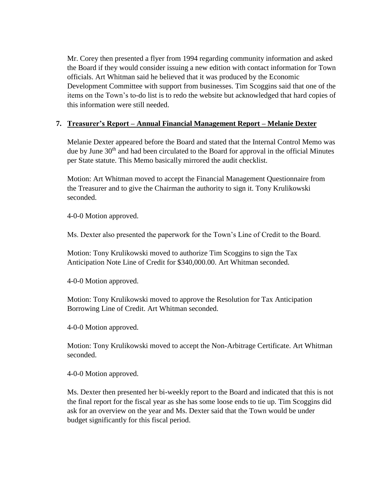Mr. Corey then presented a flyer from 1994 regarding community information and asked the Board if they would consider issuing a new edition with contact information for Town officials. Art Whitman said he believed that it was produced by the Economic Development Committee with support from businesses. Tim Scoggins said that one of the items on the Town's to-do list is to redo the website but acknowledged that hard copies of this information were still needed.

## **7. Treasurer's Report – Annual Financial Management Report – Melanie Dexter**

Melanie Dexter appeared before the Board and stated that the Internal Control Memo was due by June 30<sup>th</sup> and had been circulated to the Board for approval in the official Minutes per State statute. This Memo basically mirrored the audit checklist.

Motion: Art Whitman moved to accept the Financial Management Questionnaire from the Treasurer and to give the Chairman the authority to sign it. Tony Krulikowski seconded.

4-0-0 Motion approved.

Ms. Dexter also presented the paperwork for the Town's Line of Credit to the Board.

Motion: Tony Krulikowski moved to authorize Tim Scoggins to sign the Tax Anticipation Note Line of Credit for \$340,000.00. Art Whitman seconded.

4-0-0 Motion approved.

Motion: Tony Krulikowski moved to approve the Resolution for Tax Anticipation Borrowing Line of Credit. Art Whitman seconded.

4-0-0 Motion approved.

Motion: Tony Krulikowski moved to accept the Non-Arbitrage Certificate. Art Whitman seconded.

4-0-0 Motion approved.

Ms. Dexter then presented her bi-weekly report to the Board and indicated that this is not the final report for the fiscal year as she has some loose ends to tie up. Tim Scoggins did ask for an overview on the year and Ms. Dexter said that the Town would be under budget significantly for this fiscal period.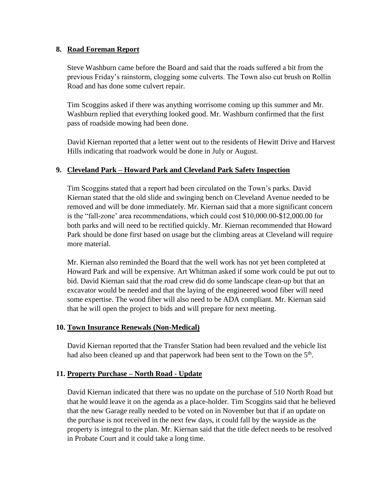#### **8. Road Foreman Report**

Steve Washburn came before the Board and said that the roads suffered a bit from the previous Friday's rainstorm, clogging some culverts. The Town also cut brush on Rollin Road and has done some culvert repair.

Tim Scoggins asked if there was anything worrisome coming up this summer and Mr. Washburn replied that everything looked good. Mr. Washburn confirmed that the first pass of roadside mowing had been done.

David Kiernan reported that a letter went out to the residents of Hewitt Drive and Harvest Hills indicating that roadwork would be done in July or August.

## **9. Cleveland Park – Howard Park and Cleveland Park Safety Inspection**

Tim Scoggins stated that a report had been circulated on the Town's parks. David Kiernan stated that the old slide and swinging bench on Cleveland Avenue needed to be removed and will be done immediately. Mr. Kiernan said that a more significant concern is the "fall-zone' area recommendations, which could cost \$10,000.00-\$12,000.00 for both parks and will need to be rectified quickly. Mr. Kiernan recommended that Howard Park should be done first based on usage but the climbing areas at Cleveland will require more material.

Mr. Kiernan also reminded the Board that the well work has not yet been completed at Howard Park and will be expensive. Art Whitman asked if some work could be put out to bid. David Kiernan said that the road crew did do some landscape clean-up but that an excavator would be needed and that the laying of the engineered wood fiber will need some expertise. The wood fiber will also need to be ADA compliant. Mr. Kiernan said that he will open the project to bids and will prepare for next meeting.

## **10. Town Insurance Renewals (Non-Medical)**

David Kiernan reported that the Transfer Station had been revalued and the vehicle list had also been cleaned up and that paperwork had been sent to the Town on the 5<sup>th</sup>.

## **11. Property Purchase – North Road - Update**

David Kiernan indicated that there was no update on the purchase of 510 North Road but that he would leave it on the agenda as a place-holder. Tim Scoggins said that he believed that the new Garage really needed to be voted on in November but that if an update on the purchase is not received in the next few days, it could fall by the wayside as the property is integral to the plan. Mr. Kiernan said that the title defect needs to be resolved in Probate Court and it could take a long time.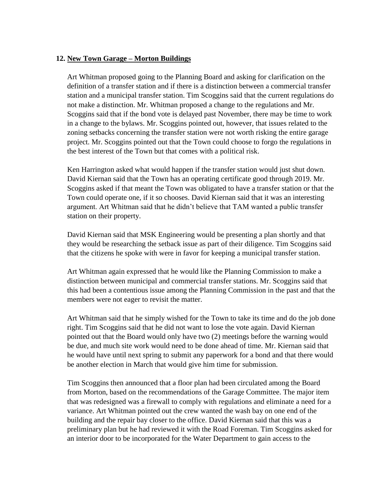#### **12. New Town Garage – Morton Buildings**

Art Whitman proposed going to the Planning Board and asking for clarification on the definition of a transfer station and if there is a distinction between a commercial transfer station and a municipal transfer station. Tim Scoggins said that the current regulations do not make a distinction. Mr. Whitman proposed a change to the regulations and Mr. Scoggins said that if the bond vote is delayed past November, there may be time to work in a change to the bylaws. Mr. Scoggins pointed out, however, that issues related to the zoning setbacks concerning the transfer station were not worth risking the entire garage project. Mr. Scoggins pointed out that the Town could choose to forgo the regulations in the best interest of the Town but that comes with a political risk.

Ken Harrington asked what would happen if the transfer station would just shut down. David Kiernan said that the Town has an operating certificate good through 2019. Mr. Scoggins asked if that meant the Town was obligated to have a transfer station or that the Town could operate one, if it so chooses. David Kiernan said that it was an interesting argument. Art Whitman said that he didn't believe that TAM wanted a public transfer station on their property.

David Kiernan said that MSK Engineering would be presenting a plan shortly and that they would be researching the setback issue as part of their diligence. Tim Scoggins said that the citizens he spoke with were in favor for keeping a municipal transfer station.

Art Whitman again expressed that he would like the Planning Commission to make a distinction between municipal and commercial transfer stations. Mr. Scoggins said that this had been a contentious issue among the Planning Commission in the past and that the members were not eager to revisit the matter.

Art Whitman said that he simply wished for the Town to take its time and do the job done right. Tim Scoggins said that he did not want to lose the vote again. David Kiernan pointed out that the Board would only have two (2) meetings before the warning would be due, and much site work would need to be done ahead of time. Mr. Kiernan said that he would have until next spring to submit any paperwork for a bond and that there would be another election in March that would give him time for submission.

Tim Scoggins then announced that a floor plan had been circulated among the Board from Morton, based on the recommendations of the Garage Committee. The major item that was redesigned was a firewall to comply with regulations and eliminate a need for a variance. Art Whitman pointed out the crew wanted the wash bay on one end of the building and the repair bay closer to the office. David Kiernan said that this was a preliminary plan but he had reviewed it with the Road Foreman. Tim Scoggins asked for an interior door to be incorporated for the Water Department to gain access to the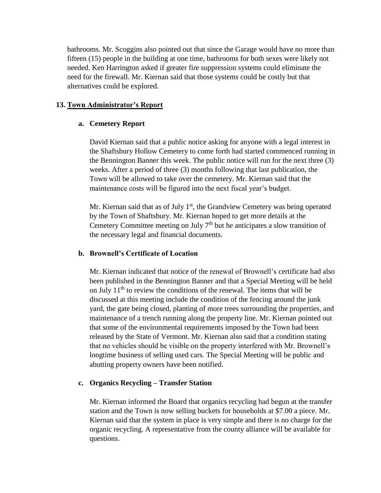bathrooms. Mr. Scoggins also pointed out that since the Garage would have no more than fifteen (15) people in the building at one time, bathrooms for both sexes were likely not needed. Ken Harrington asked if greater fire suppression systems could eliminate the need for the firewall. Mr. Kiernan said that those systems could be costly but that alternatives could be explored.

#### **13. Town Administrator's Report**

#### **a. Cemetery Report**

David Kiernan said that a public notice asking for anyone with a legal interest in the Shaftsbury Hollow Cemetery to come forth had started commenced running in the Bennington Banner this week. The public notice will run for the next three (3) weeks. After a period of three (3) months following that last publication, the Town will be allowed to take over the cemetery. Mr. Kiernan said that the maintenance costs will be figured into the next fiscal year's budget.

Mr. Kiernan said that as of July  $1<sup>st</sup>$ , the Grandview Cemetery was being operated by the Town of Shaftsbury. Mr. Kiernan hoped to get more details at the Cemetery Committee meeting on July  $7<sup>th</sup>$  but he anticipates a slow transition of the necessary legal and financial documents.

## **b. Brownell's Certificate of Location**

Mr. Kiernan indicated that notice of the renewal of Brownell's certificate had also been published in the Bennington Banner and that a Special Meeting will be held on July  $11<sup>th</sup>$  to review the conditions of the renewal. The items that will be discussed at this meeting include the condition of the fencing around the junk yard, the gate being closed, planting of more trees surrounding the properties, and maintenance of a trench running along the property line. Mr. Kiernan pointed out that some of the environmental requirements imposed by the Town had been released by the State of Vermont. Mr. Kiernan also said that a condition stating that no vehicles should be visible on the property interfered with Mr. Brownell's longtime business of selling used cars. The Special Meeting will be public and abutting property owners have been notified.

## **c. Organics Recycling – Transfer Station**

Mr. Kiernan informed the Board that organics recycling had begun at the transfer station and the Town is now selling buckets for households at \$7.00 a piece. Mr. Kiernan said that the system in place is very simple and there is no charge for the organic recycling. A representative from the county alliance will be available for questions.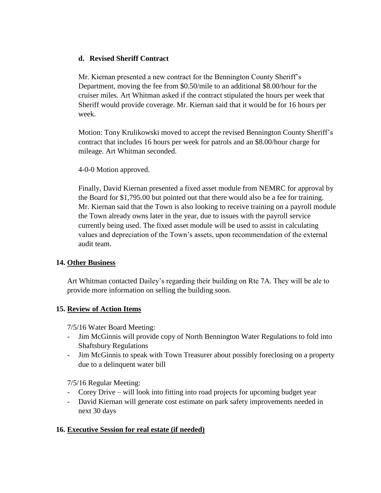## **d. Revised Sheriff Contract**

Mr. Kiernan presented a new contract for the Bennington County Sheriff's Department, moving the fee from \$0.50/mile to an additional \$8.00/hour for the cruiser miles. Art Whitman asked if the contract stipulated the hours per week that Sheriff would provide coverage. Mr. Kiernan said that it would be for 16 hours per week.

Motion: Tony Krulikowski moved to accept the revised Bennington County Sheriff's contract that includes 16 hours per week for patrols and an \$8.00/hour charge for mileage. Art Whitman seconded.

## 4-0-0 Motion approved.

Finally, David Kiernan presented a fixed asset module from NEMRC for approval by the Board for \$1,795.00 but pointed out that there would also be a fee for training. Mr. Kiernan said that the Town is also looking to receive training on a payroll module the Town already owns later in the year, due to issues with the payroll service currently being used. The fixed asset module will be used to assist in calculating values and depreciation of the Town's assets, upon recommendation of the external audit team.

## **14. Other Business**

Art Whitman contacted Dailey's regarding their building on Rte 7A. They will be ale to provide more information on selling the building soon.

# **15. Review of Action Items**

7/5/16 Water Board Meeting:

- Jim McGinnis will provide copy of North Bennington Water Regulations to fold into Shaftsbury Regulations
- Jim McGinnis to speak with Town Treasurer about possibly foreclosing on a property due to a delinquent water bill

7/5/16 Regular Meeting:

- Corey Drive will look into fitting into road projects for upcoming budget year
- David Kiernan will generate cost estimate on park safety improvements needed in next 30 days

# **16. Executive Session for real estate (if needed)**